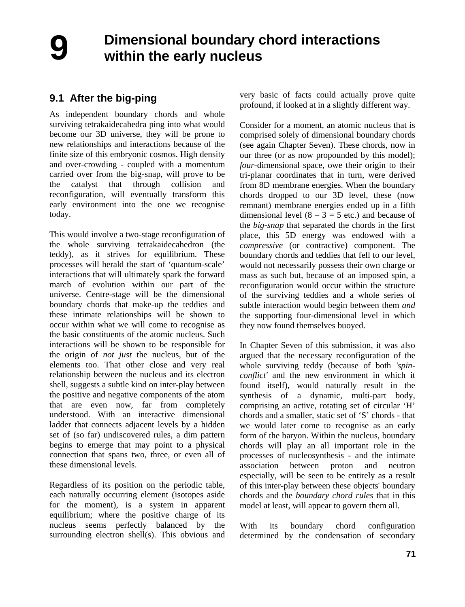## **Dimensional boundary chord interactions within the early nucleus**

## **9.1 After the big-ping**

As independent boundary chords and whole surviving tetrakaidecahedra ping into what would become our 3D universe, they will be prone to new relationships and interactions because of the finite size of this embryonic cosmos. High density and over-crowding - coupled with a momentum carried over from the big-snap, will prove to be the catalyst that through collision and reconfiguration, will eventually transform this early environment into the one we recognise today.

This would involve a two-stage reconfiguration of the whole surviving tetrakaidecahedron (the teddy), as it strives for equilibrium. These processes will herald the start of 'quantum-scale' interactions that will ultimately spark the forward march of evolution within our part of the universe. Centre-stage will be the dimensional boundary chords that make-up the teddies and these intimate relationships will be shown to occur within what we will come to recognise as the basic constituents of the atomic nucleus. Such interactions will be shown to be responsible for the origin of *not just* the nucleus, but of the elements too. That other close and very real relationship between the nucleus and its electron shell, suggests a subtle kind on inter-play between the positive and negative components of the atom that are even now, far from completely understood. With an interactive dimensional ladder that connects adjacent levels by a hidden set of (so far) undiscovered rules, a dim pattern begins to emerge that may point to a physical connection that spans two, three, or even all of these dimensional levels.

Regardless of its position on the periodic table, each naturally occurring element (isotopes aside for the moment), is a system in apparent equilibrium; where the positive charge of its nucleus seems perfectly balanced by the surrounding electron shell(s). This obvious and very basic of facts could actually prove quite profound, if looked at in a slightly different way.

Consider for a moment, an atomic nucleus that is comprised solely of dimensional boundary chords (see again Chapter Seven). These chords, now in our three (or as now propounded by this model); *four*-dimensional space, owe their origin to their tri-planar coordinates that in turn, were derived from 8D membrane energies. When the boundary chords dropped to our 3D level, these (now remnant) membrane energies ended up in a fifth dimensional level  $(8 - 3 = 5$  etc.) and because of the *big-snap* that separated the chords in the first place, this 5D energy was endowed with a *compressive* (or contractive) component. The boundary chords and teddies that fell to our level, would not necessarily possess their own charge or mass as such but, because of an imposed spin, a reconfiguration would occur within the structure of the surviving teddies and a whole series of subtle interaction would begin between them *and* the supporting four-dimensional level in which they now found themselves buoyed.

In Chapter Seven of this submission, it was also argued that the necessary reconfiguration of the whole surviving teddy (because of both *'spinconflict'* and the new environment in which it found itself), would naturally result in the synthesis of a dynamic, multi-part body, comprising an active, rotating set of circular 'H' chords and a smaller, static set of 'S' chords - that we would later come to recognise as an early form of the baryon. Within the nucleus, boundary chords will play an all important role in the processes of nucleosynthesis - and the intimate association between proton and neutron especially, will be seen to be entirely as a result of this inter-play between these objects' boundary chords and the *boundary chord rules* that in this model at least, will appear to govern them all.

With its boundary chord configuration determined by the condensation of secondary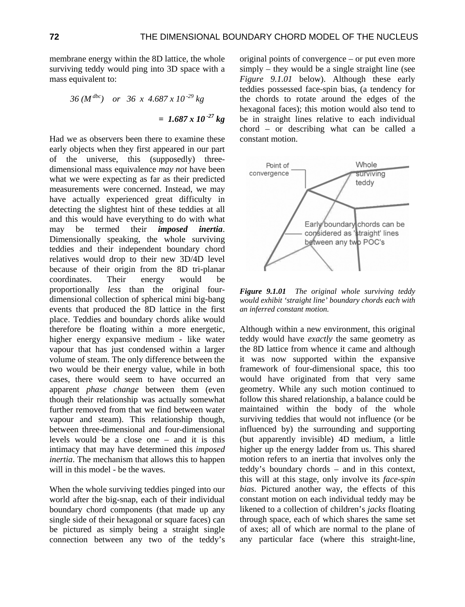membrane energy within the 8D lattice, the whole surviving teddy would ping into 3D space with a mass equivalent to:

$$
36 (M^{dbc}) \quad or \quad 36 \times 4.687 \times 10^{-29} \text{ kg}
$$
\n
$$
= 1.687 \times 10^{-27} \text{ kg}
$$

Had we as observers been there to examine these early objects when they first appeared in our part of the universe, this (supposedly) threedimensional mass equivalence *may not* have been what we were expecting as far as their predicted measurements were concerned. Instead, we may have actually experienced great difficulty in detecting the slightest hint of these teddies at all and this would have everything to do with what may be termed their *imposed inertia*. Dimensionally speaking, the whole surviving teddies and their independent boundary chord relatives would drop to their new 3D/4D level because of their origin from the 8D tri-planar coordinates. Their energy would be proportionally *less* than the original fourdimensional collection of spherical mini big-bang events that produced the 8D lattice in the first place. Teddies and boundary chords alike would therefore be floating within a more energetic, higher energy expansive medium - like water vapour that has just condensed within a larger volume of steam. The only difference between the two would be their energy value, while in both cases, there would seem to have occurred an apparent *phase change* between them (even though their relationship was actually somewhat further removed from that we find between water vapour and steam). This relationship though, between three-dimensional and four-dimensional levels would be a close one – and it is this intimacy that may have determined this *imposed inertia*. The mechanism that allows this to happen will in this model - be the waves.

When the whole surviving teddies pinged into our world after the big-snap, each of their individual boundary chord components (that made up any single side of their hexagonal or square faces) can be pictured as simply being a straight single connection between any two of the teddy's

original points of convergence – or put even more simply – they would be a single straight line (see *Figure 9.1.01* below). Although these early teddies possessed face-spin bias, (a tendency for the chords to rotate around the edges of the hexagonal faces); this motion would also tend to be in straight lines relative to each individual chord – or describing what can be called a constant motion.



*Figure 9.1.01 The original whole surviving teddy would exhibit 'straight line' boundary chords each with an inferred constant motion.* 

Although within a new environment, this original teddy would have *exactly* the same geometry as the 8D lattice from whence it came and although it was now supported within the expansive framework of four-dimensional space, this too would have originated from that very same geometry. While any such motion continued to follow this shared relationship, a balance could be maintained within the body of the whole surviving teddies that would not influence (or be influenced by) the surrounding and supporting (but apparently invisible) 4D medium, a little higher up the energy ladder from us. This shared motion refers to an inertia that involves only the teddy's boundary chords – and in this context, this will at this stage, only involve its *face-spin bias*. Pictured another way, the effects of this constant motion on each individual teddy may be likened to a collection of children's *jacks* floating through space, each of which shares the same set of axes; all of which are normal to the plane of any particular face (where this straight-line,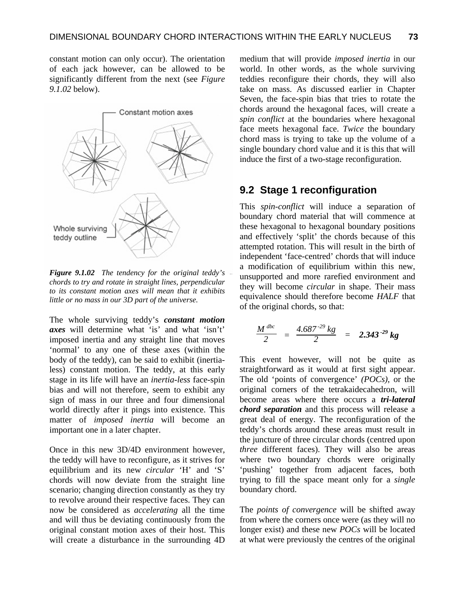constant motion can only occur). The orientation of each jack however, can be allowed to be significantly different from the next (see *Figure 9.1.02* below).



*Figure 9.1.02 The tendency for the original teddy's chords to try and rotate in straight lines, perpendicular to its constant motion axes will mean that it exhibits little or no mass in our 3D part of the universe.* 

The whole surviving teddy's *constant motion axes* will determine what 'is' and what 'isn't' imposed inertia and any straight line that moves 'normal' to any one of these axes (within the body of the teddy), can be said to exhibit (inertialess) constant motion. The teddy, at this early stage in its life will have an *inertia-less* face-spin bias and will not therefore, seem to exhibit any sign of mass in our three and four dimensional world directly after it pings into existence. This matter of *imposed inertia* will become an important one in a later chapter.

Once in this new 3D/4D environment however, the teddy will have to reconfigure, as it strives for equilibrium and its new *circular* 'H' and 'S' chords will now deviate from the straight line scenario; changing direction constantly as they try to revolve around their respective faces. They can now be considered as *accelerating* all the time and will thus be deviating continuously from the original constant motion axes of their host. This will create a disturbance in the surrounding 4D

medium that will provide *imposed inertia* in our world. In other words, as the whole surviving teddies reconfigure their chords, they will also take on mass. As discussed earlier in Chapter Seven, the face-spin bias that tries to rotate the chords around the hexagonal faces, will create a *spin conflict* at the boundaries where hexagonal face meets hexagonal face. *Twice* the boundary chord mass is trying to take up the volume of a single boundary chord value and it is this that will induce the first of a two-stage reconfiguration.

## **9.2 Stage 1 reconfiguration**

This *spin-conflict* will induce a separation of boundary chord material that will commence at these hexagonal to hexagonal boundary positions and effectively 'split' the chords because of this attempted rotation. This will result in the birth of independent 'face-centred' chords that will induce a modification of equilibrium within this new, unsupported and more rarefied environment and they will become *circular* in shape. Their mass equivalence should therefore become *HALF* that of the original chords, so that:

$$
\frac{M^{dbc}}{2} = \frac{4.687^{29} kg}{2} = 2.343^{29} kg
$$

This event however, will not be quite as straightforward as it would at first sight appear. The old 'points of convergence' *(POCs)*, or the original corners of the tetrakaidecahedron, will become areas where there occurs a *tri-lateral chord separation* and this process will release a great deal of energy. The reconfiguration of the teddy's chords around these areas must result in the juncture of three circular chords (centred upon *three* different faces). They will also be areas where two boundary chords were originally 'pushing' together from adjacent faces, both trying to fill the space meant only for a *single* boundary chord.

The *points of convergence* will be shifted away from where the corners once were (as they will no longer exist) and these new *POCs* will be located at what were previously the centres of the original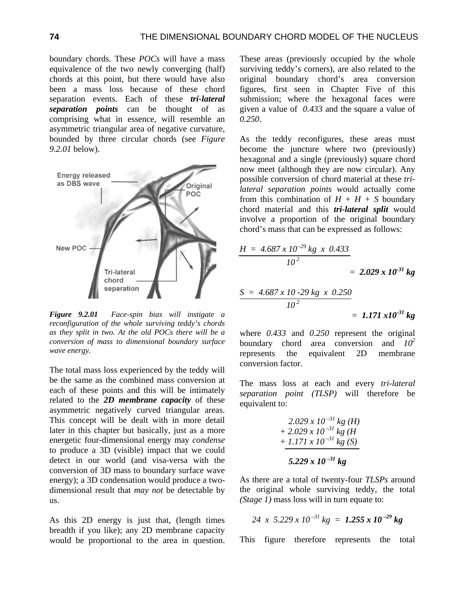boundary chords. These *POCs* will have a mass equivalence of the two newly converging (half) chords at this point, but there would have also been a mass loss because of these chord separation events. Each of these *tri-lateral separation points* can be thought of as comprising what in essence, will resemble an asymmetric triangular area of negative curvature, bounded by three circular chords (see *Figure 9.2.01* below).



*Figure 9.2.01 Face-spin bias will instigate a reconfiguration of the whole surviving teddy's chords as they split in two. At the old POCs there will be a conversion of mass to dimensional boundary surface wave energy.* 

The total mass loss experienced by the teddy will be the same as the combined mass conversion at each of these points and this will be intimately related to the *2D membrane capacity* of these asymmetric negatively curved triangular areas. This concept will be dealt with in more detail later in this chapter but basically, just as a more energetic four-dimensional energy may *condense* to produce a 3D (visible) impact that we could detect in our world (and visa-versa with the conversion of 3D mass to boundary surface wave energy); a 3D condensation would produce a twodimensional result that *may not* be detectable by us.

As this 2D energy is just that, (length times breadth if you like); any 2D membrane capacity would be proportional to the area in question. These areas (previously occupied by the whole surviving teddy's corners), are also related to the original boundary chord's area conversion figures, first seen in Chapter Five of this submission; where the hexagonal faces were given a value of *0.433* and the square a value of *0.250*.

As the teddy reconfigures, these areas must become the juncture where two (previously) hexagonal and a single (previously) square chord now meet (although they are now circular). Any possible conversion of chord material at these *trilateral separation points* would actually come from this combination of  $H + H + S$  boundary chord material and this *tri-lateral split* would involve a proportion of the original boundary chord's mass that can be expressed as follows:

$$
\frac{H = 4.687 \times 10^{-29} \text{ kg} \times 0.433}{10^2}
$$
  
= 2.029 x 10<sup>-31</sup> kg  

$$
\frac{S = 4.687 \times 10^{-29} \text{ kg} \times 0.250}{10^2}
$$
  
= 1.171 x10<sup>-31</sup> kg

where *0.433* and *0.250* represent the original boundary chord area conversion and *10<sup>2</sup>* represents the equivalent 2D membrane conversion factor.

The mass loss at each and every *tri-lateral separation point (TLSP)* will therefore be equivalent to:

$$
2.029 \times 10^{-31} \text{ kg (H)} + 2.029 \times 10^{-31} \text{ kg (H)} + 1.171 \times 10^{-31} \text{ kg (S)} 5.229 \times 10^{-31} \text{ kg}
$$

As there are a total of twenty-four *TLSPs* around the original whole surviving teddy, the total *(Stage 1)* mass loss will in turn equate to:

$$
24 \times 5.229 \times 10^{-31} \text{ kg} = 1.255 \times 10^{-29} \text{ kg}
$$

This figure therefore represents the total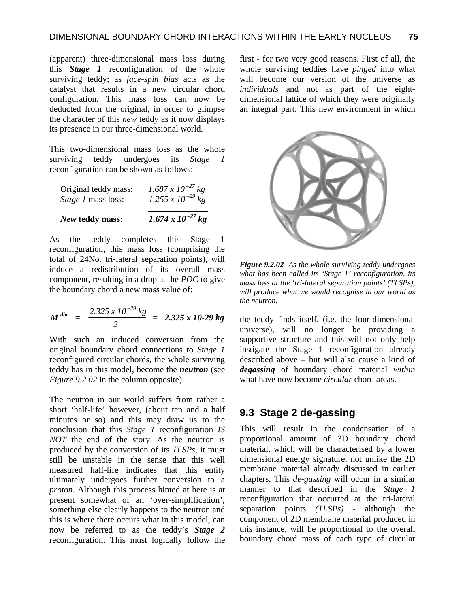(apparent) three-dimensional mass loss during this *Stage 1* reconfiguration of the whole surviving teddy; as *face-spin bias* acts as the catalyst that results in a new circular chord configuration. This mass loss can now be deducted from the original, in order to glimpse the character of this *new* teddy as it now displays its presence in our three-dimensional world.

This two-dimensional mass loss as the whole surviving teddy undergoes its *Stage 1* reconfiguration can be shown as follows:

| Original teddy mass:      | $1.687 \times 10^{-27}$ kg  |
|---------------------------|-----------------------------|
| <i>Stage 1</i> mass loss: | $-1.255 \times 10^{-29}$ kg |
|                           |                             |

*New* **teddy mass:** *1.674 x 10 –27 kg* 

As the teddy completes this Stage 1 reconfiguration, this mass loss (comprising the total of 24No. tri-lateral separation points), will induce a redistribution of its overall mass

component, resulting in a drop at the *POC* to give the boundary chord a new mass value of:

$$
M^{dbc} = \frac{2.325 \times 10^{-29} \text{ kg}}{2} = 2.325 \times 10^{-29} \text{ kg}
$$

With such an induced conversion from the original boundary chord connections to *Stage 1* reconfigured circular chords, the whole surviving teddy has in this model, become the *neutron* (see *Figure 9.2.02* in the column opposite).

The neutron in our world suffers from rather a short 'half-life' however, (about ten and a half minutes or so) and this may draw us to the conclusion that this *Stage 1* reconfiguration *IS NOT* the end of the story. As the neutron is produced by the conversion of its *TLSPs*, it must still be unstable in the sense that this well measured half-life indicates that this entity ultimately undergoes further conversion to a *proton*. Although this process hinted at here is at present somewhat of an 'over-simplification', something else clearly happens to the neutron and this is where there occurs what in this model, can now be referred to as the teddy's *Stage 2*  reconfiguration. This must logically follow the first - for two very good reasons. First of all, the whole surviving teddies have *pinged* into what will become our version of the universe as *individuals* and not as part of the eightdimensional lattice of which they were originally an integral part. This new environment in which



*Figure 9.2.02 As the whole surviving teddy undergoes what has been called its 'Stage 1' reconfiguration, its mass loss at the 'tri-lateral separation points' (TLSPs), will produce what we would recognise in our world as the neutron.* 

the teddy finds itself, (i.e. the four-dimensional universe), will no longer be providing a supportive structure and this will not only help instigate the Stage 1 reconfiguration already described above – but will also cause a kind of *degassing* of boundary chord material *within* what have now become *circular* chord areas.

## **9.3 Stage 2 de-gassing**

This will result in the condensation of a proportional amount of 3D boundary chord material, which will be characterised by a lower dimensional energy signature, not unlike the 2D membrane material already discussed in earlier chapters. This *de-gassing* will occur in a similar manner to that described in the *Stage 1* reconfiguration that occurred at the tri-lateral separation points *(TLSPs)* - although the component of 2D membrane material produced in this instance, will be proportional to the overall boundary chord mass of each type of circular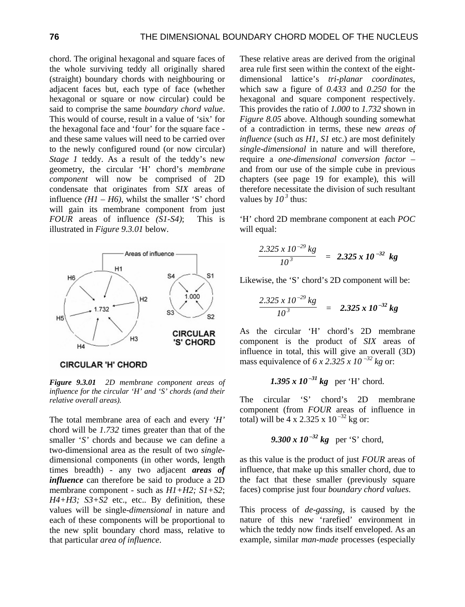chord. The original hexagonal and square faces of the whole surviving teddy all originally shared (straight) boundary chords with neighbouring or adjacent faces but, each type of face (whether hexagonal or square or now circular) could be said to comprise the same *boundary chord value*. This would of course, result in a value of 'six' for the hexagonal face and 'four' for the square face and these same values will need to be carried over to the newly configured round (or now circular) *Stage 1* teddy. As a result of the teddy's new geometry, the circular 'H' chord's *membrane component* will now be comprised of 2D condensate that originates from *SIX* areas of influence  $(HI - H6)$ , whilst the smaller 'S' chord will gain its membrane component from just *FOUR* areas of influence *(S1-S4)*; This is illustrated in *Figure 9.3.01* below.



**CIRCULAR 'H' CHORD** 

*Figure 9.3.01 2D membrane component areas of influence for the circular 'H' and 'S' chords (and their relative overall areas).* 

The total membrane area of each and every *'H'* chord will be *1.732* times greater than that of the smaller '*S'* chords and because we can define a two-dimensional area as the result of two *single*dimensional components (in other words, length times breadth) - any two adjacent *areas of influence* can therefore be said to produce a 2D membrane component - such as *H1+H2; S1+S2*; *H4+H3; S3+S2* etc., etc.. By definition, these values will be single-*dimensional* in nature and each of these components will be proportional to the new split boundary chord mass, relative to that particular *area of influence*.

These relative areas are derived from the original area rule first seen within the context of the eightdimensional lattice's *tri-planar coordinates*, which saw a figure of *0.433* and *0.250* for the hexagonal and square component respectively. This provides the ratio of *1.000* to *1.732* shown in *Figure 8.05* above. Although sounding somewhat of a contradiction in terms, these new *areas of influence* (such *as H1, S1* etc.) are most definitely *single-dimensional* in nature and will therefore, require a *one-dimensional conversion factor* – and from our use of the simple cube in previous chapters (see page 19 for example), this will therefore necessitate the division of such resultant values by  $10^3$  thus:

'H' chord 2D membrane component at each *POC* will equal:

$$
\frac{2.325 \times 10^{-29} \text{ kg}}{10^3} = 2.325 \times 10^{-32} \text{ kg}
$$

Likewise, the 'S' chord's 2D component will be:

$$
\frac{2.325 \times 10^{-29} \text{ kg}}{10^3} = 2.325 \times 10^{-32} \text{ kg}
$$

As the circular 'H' chord's 2D membrane component is the product of *SIX* areas of influence in total, this will give an overall (3D) mass equivalence of 6 x 2.325 x  $10^{-32}$  kg or:

1.395 x 
$$
10^{-31}
$$
 kg per 'H' chord.

The circular 'S' chord's 2D membrane component (from *FOUR* areas of influence in total) will be  $4 \times 2.325 \times 10^{-32}$  kg or:

*9.300 x 10 –32 kg* per 'S' chord,

as this value is the product of just *FOUR* areas of influence, that make up this smaller chord, due to the fact that these smaller (previously square faces) comprise just four *boundary chord values*.

This process of *de-gassing*, is caused by the nature of this new 'rarefied' environment in which the teddy now finds itself enveloped. As an example, similar *man-made* processes (especially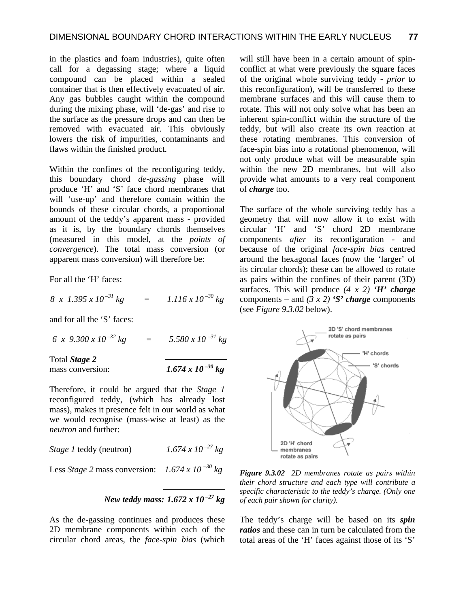in the plastics and foam industries), quite often call for a degassing stage; where a liquid compound can be placed within a sealed container that is then effectively evacuated of air. Any gas bubbles caught within the compound during the mixing phase, will 'de-gas' and rise to the surface as the pressure drops and can then be removed with evacuated air. This obviously lowers the risk of impurities, contaminants and flaws within the finished product.

Within the confines of the reconfiguring teddy, this boundary chord *de-gassing* phase will produce 'H' and 'S' face chord membranes that will 'use-up' and therefore contain within the bounds of these circular chords, a proportional amount of the teddy's apparent mass - provided as it is, by the boundary chords themselves (measured in this model, at the *points of convergence*). The total mass conversion (or apparent mass conversion) will therefore be:

For all the 'H' faces:

 $8 \times 1.395 \times 10^{-31}$  kg =  $1.116 \times 10^{-30}$  kg

and for all the 'S' faces:

 $6 \times 9.300 \times 10^{-32}$  kg  $= 5.580 \times 10^{-31}$  kg

Total *Stage 2* 

mass conversion:  $1.674 \times 10^{-30}$  kg

Therefore, it could be argued that the *Stage 1* reconfigured teddy, (which has already lost mass), makes it presence felt in our world as what we would recognise (mass-wise at least) as the *neutron* and further:

| Stage 1 teddy (neutron) | $1.674 \times 10^{-27}$ kg |
|-------------------------|----------------------------|
|                         |                            |

Less *Stage 2* mass conversion:  $1.674 \times 10^{-30}$  kg

*New teddy mass: 1.672 x 10 –27 kg* 

As the de-gassing continues and produces these 2D membrane components within each of the circular chord areas, the *face-spin bias* (which

will still have been in a certain amount of spinconflict at what were previously the square faces of the original whole surviving teddy - *prior* to this reconfiguration), will be transferred to these membrane surfaces and this will cause them to rotate. This will not only solve what has been an inherent spin-conflict within the structure of the teddy, but will also create its own reaction at these rotating membranes. This conversion of face-spin bias into a rotational phenomenon, will not only produce what will be measurable spin within the new 2D membranes, but will also provide what amounts to a very real component of *charge* too.

The surface of the whole surviving teddy has a geometry that will now allow it to exist with circular 'H' and 'S' chord 2D membrane components *after* its reconfiguration - and because of the original *face-spin bias* centred around the hexagonal faces (now the 'larger' of its circular chords); these can be allowed to rotate as pairs within the confines of their parent (3D) surfaces. This will produce *(4 x 2) 'H' charge* components – and  $(3 x 2)$  *'S' charge* components (see *Figure 9.3.02* below).



*Figure 9.3.02 2D membranes rotate as pairs within their chord structure and each type will contribute a specific characteristic to the teddy's charge. (Only one of each pair shown for clarity).* 

The teddy's charge will be based on its *spin ratios* and these can in turn be calculated from the total areas of the 'H' faces against those of its 'S'